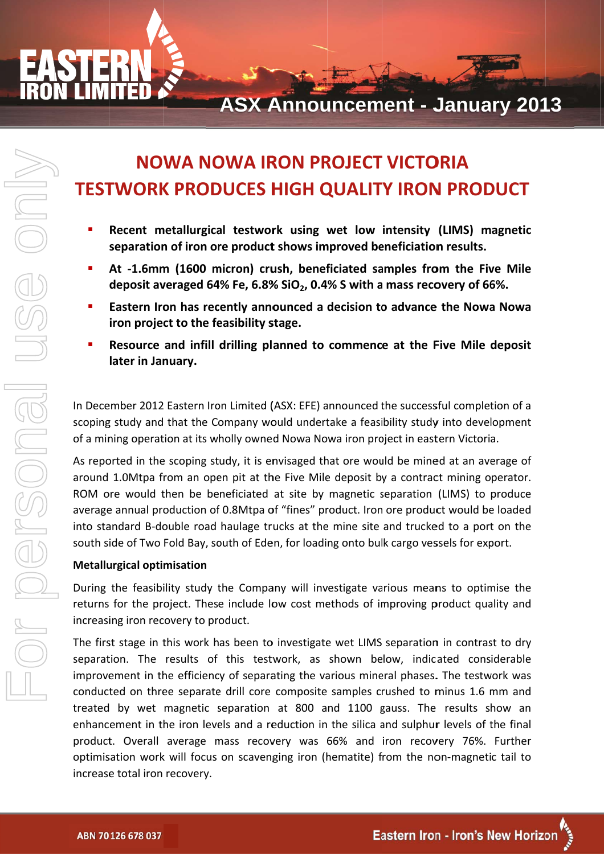

# **NOWA NOWA IRON PROJECT VICTORIA TESTWORK PRODUCES HIGH QUALITY IRON PRODUCT**

- Recent metallurgical testwork using wet low intensity (LIMS) magnetic separation of iron ore product shows improved beneficiation results.
- At -1.6mm (1600 micron) crush, beneficiated samples from the Five Mile deposit averaged 64% Fe, 6.8%  $SiO<sub>2</sub>$ , 0.4% S with a mass recovery of 66%.
- Eastern Iron has recently announced a decision to advance the Nowa Nowa iron project to the feasibility stage.
- Resource and infill drilling planned to commence at the Five Mile deposit later in January.

In December 2012 Eastern Iron Limited (ASX: EFE) announced the successful completion of a scoping study and that the Company would undertake a feasibility study into development of a mining operation at its wholly owned Nowa Nowa iron project in eastern Victoria.

As reported in the scoping study, it is envisaged that ore would be mined at an average of around 1.0Mtpa from an open pit at the Five Mile deposit by a contract mining operator. ROM ore would then be beneficiated at site by magnetic separation (LIMS) to produce average annual production of 0.8Mtpa of "fines" product. Iron ore product would be loaded into standard B-double road haulage trucks at the mine site and trucked to a port on the south side of Two Fold Bay, south of Eden, for loading onto bulk cargo vessels for export.

### **Metallurgical optimisation**

During the feasibility study the Company will investigate various means to optimise the returns for the project. These include low cost methods of improving product quality and increasing iron recovery to product.

The first stage in this work has been to investigate wet LIMS separation in contrast to dry separation. The results of this testwork, as shown below, indicated considerable improvement in the efficiency of separating the various mineral phases. The testwork was conducted on three separate drill core composite samples crushed to minus 1.6 mm and treated by wet magnetic separation at 800 and 1100 gauss. The results show an enhancement in the iron levels and a reduction in the silica and sulphur levels of the final product. Overall average mass recovery was 66% and iron recovery 76%. Further optimisation work will focus on scavenging iron (hematite) from the non-magnetic tail to increase total iron recovery.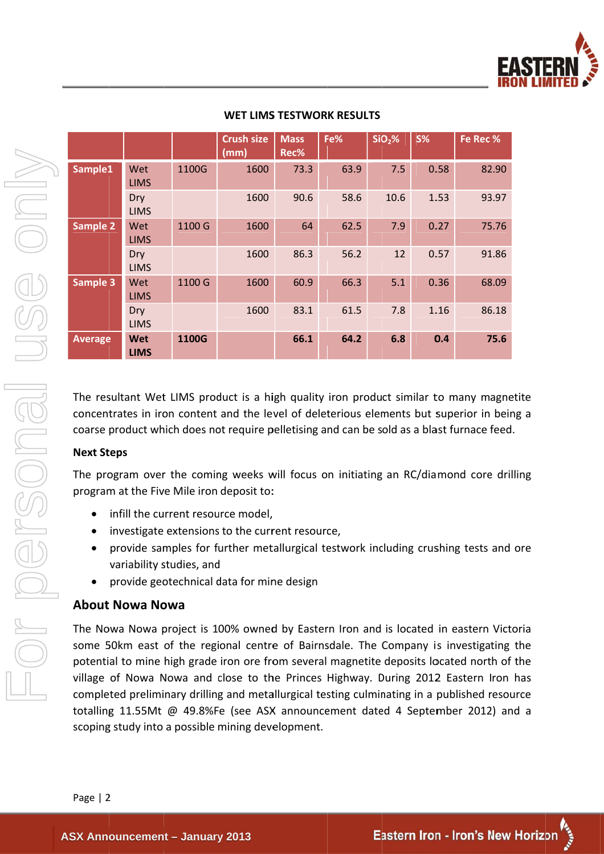

| Sample1                                      | Wet<br><b>LIMS</b>               |  |
|----------------------------------------------|----------------------------------|--|
|                                              | Dry                              |  |
|                                              | <b>LIMS</b>                      |  |
| <b>Sample 2</b>                              | Wet<br><b>LIMS</b>               |  |
|                                              | Dry                              |  |
|                                              | <b>LIMS</b>                      |  |
| Sample 3                                     | Wet                              |  |
|                                              | <b>LIMS</b>                      |  |
|                                              | Dry<br><b>LIMS</b>               |  |
| <b>Average</b>                               | <b>Wet</b>                       |  |
|                                              | <b>LIMS</b>                      |  |
| concentrates in iron<br>coarse product which |                                  |  |
| <b>Next Steps</b>                            |                                  |  |
| The program over tl<br>program at the Five I |                                  |  |
|                                              | infill the curre                 |  |
|                                              | investigate ex<br>provide samp   |  |
|                                              | variability stu<br>provide geote |  |
| <b>About Nowa Now</b>                        |                                  |  |

### **WET LIMS TESTWORK RESULTS**

**Crush size Mass** Fe%  $SiO<sub>2</sub>%$ **S%** Fe Rec % Rec%  $(mm)$ 1100G 1600  $73.3$ 63.9  $7.5$ 0.58 82.90 1600 90.6 10.6 1.53 58.6 93.97 1600 1100 G 64 62.5 7.9  $0.27$ 75.76 1600 86.3 56.2  $12$  $0.57$ 91.86 1100 G  $0.36$ 1600 60.9 66.3  $5.1$ 68.09 1600 83.1 61.5 7.8 1.16 86.18 1100G 66.1 64.2  $6.8$  $0.4$ 75.6

IMS product is a high quality iron product similar to many magnetite content and the level of deleterious elements but superior in being a h does not require pelletising and can be sold as a blast furnace feed.

he coming weeks will focus on initiating an RC/diamond core drilling Mile iron deposit to:

- ent resource model,
- xtensions to the current resource.
- bles for further metallurgical testwork including crushing tests and ore dies. and
- echnical data for mine design

## a i

oject is 100% owned by Eastern Iron and is located in eastern Victoria some 50km east of the regional centre of Bairnsdale. The Company is investigating the potential to mine high grade iron ore from several magnetite deposits located north of the village of Nowa Nowa and close to the Princes Highway. During 2012 Eastern Iron has completed preliminary drilling and metallurgical testing culminating in a published resource totalling 11.55Mt @ 49.8%Fe (see ASX announcement dated 4 September 2012) and a scoping study into a possible mining development.